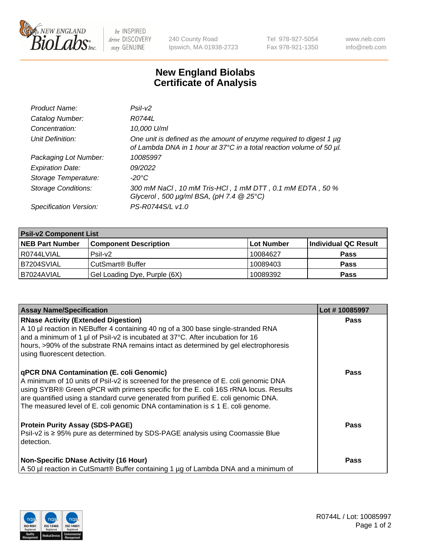

 $be$  INSPIRED drive DISCOVERY stay GENUINE

240 County Road Ipswich, MA 01938-2723 Tel 978-927-5054 Fax 978-921-1350 www.neb.com info@neb.com

## **New England Biolabs Certificate of Analysis**

| Product Name:              | Psi2                                                                                                                                        |
|----------------------------|---------------------------------------------------------------------------------------------------------------------------------------------|
| Catalog Number:            | R0744L                                                                                                                                      |
| Concentration:             | 10,000 U/ml                                                                                                                                 |
| Unit Definition:           | One unit is defined as the amount of enzyme required to digest 1 µg<br>of Lambda DNA in 1 hour at 37°C in a total reaction volume of 50 µl. |
| Packaging Lot Number:      | 10085997                                                                                                                                    |
| <b>Expiration Date:</b>    | 09/2022                                                                                                                                     |
| Storage Temperature:       | $-20^{\circ}$ C                                                                                                                             |
| <b>Storage Conditions:</b> | 300 mM NaCl, 10 mM Tris-HCl, 1 mM DTT, 0.1 mM EDTA, 50 %<br>Glycerol, 500 $\mu$ g/ml BSA, (pH 7.4 $@25°C$ )                                 |
| Specification Version:     | PS-R0744S/L v1.0                                                                                                                            |

| <b>Psil-v2 Component List</b> |                              |            |                      |  |  |
|-------------------------------|------------------------------|------------|----------------------|--|--|
| <b>NEB Part Number</b>        | <b>Component Description</b> | Lot Number | Individual QC Result |  |  |
| l R0744LVIAL                  | $P$ sil-v $2$                | 10084627   | <b>Pass</b>          |  |  |
| B7204SVIAL                    | CutSmart <sup>®</sup> Buffer | 10089403   | <b>Pass</b>          |  |  |
| B7024AVIAL                    | Gel Loading Dye, Purple (6X) | 10089392   | <b>Pass</b>          |  |  |

| <b>Assay Name/Specification</b>                                                                                                                                                                                                                                                                                                                                                                              | Lot #10085997 |
|--------------------------------------------------------------------------------------------------------------------------------------------------------------------------------------------------------------------------------------------------------------------------------------------------------------------------------------------------------------------------------------------------------------|---------------|
| <b>RNase Activity (Extended Digestion)</b><br>A 10 µl reaction in NEBuffer 4 containing 40 ng of a 300 base single-stranded RNA<br>and a minimum of 1 µl of Psil-v2 is incubated at 37°C. After incubation for 16<br>hours, >90% of the substrate RNA remains intact as determined by gel electrophoresis<br>using fluorescent detection.                                                                    | <b>Pass</b>   |
| <b>qPCR DNA Contamination (E. coli Genomic)</b><br>A minimum of 10 units of Psil-v2 is screened for the presence of E. coli genomic DNA<br>using SYBR® Green qPCR with primers specific for the E. coli 16S rRNA locus. Results<br>are quantified using a standard curve generated from purified E. coli genomic DNA.<br>The measured level of E. coli genomic DNA contamination is $\leq 1$ E. coli genome. | Pass          |
| <b>Protein Purity Assay (SDS-PAGE)</b><br>$\vert$ Psil-v2 is $\geq$ 95% pure as determined by SDS-PAGE analysis using Coomassie Blue<br>l detection.                                                                                                                                                                                                                                                         | Pass          |
| <b>Non-Specific DNase Activity (16 Hour)</b><br>A 50 µl reaction in CutSmart® Buffer containing 1 µg of Lambda DNA and a minimum of                                                                                                                                                                                                                                                                          | Pass          |